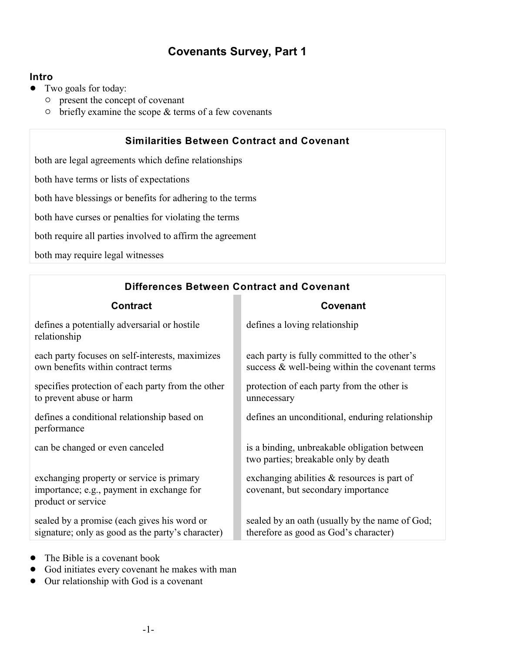## **Covenants Survey, Part 1**

## **Intro**

- Two goals for today:
	- $\circ$  present the concept of covenant
	- $\circ$  briefly examine the scope & terms of a few covenants

## **Similarities Between Contract and Covenant**

both are legal agreements which define relationships

both have terms or lists of expectations

both have blessings or benefits for adhering to the terms

both have curses or penalties for violating the terms

both require all parties involved to affirm the agreement

both may require legal witnesses

| <b>Contract</b>                                                                                              | <b>Covenant</b>                                                                                |
|--------------------------------------------------------------------------------------------------------------|------------------------------------------------------------------------------------------------|
| defines a potentially adversarial or hostile<br>relationship                                                 | defines a loving relationship                                                                  |
| each party focuses on self-interests, maximizes<br>own benefits within contract terms                        | each party is fully committed to the other's<br>success & well-being within the covenant terms |
| specifies protection of each party from the other<br>to prevent abuse or harm                                | protection of each party from the other is<br>unnecessary                                      |
| defines a conditional relationship based on<br>performance                                                   | defines an unconditional, enduring relationship                                                |
| can be changed or even canceled                                                                              | is a binding, unbreakable obligation between<br>two parties; breakable only by death           |
| exchanging property or service is primary<br>importance; e.g., payment in exchange for<br>product or service | exchanging abilities $\&$ resources is part of<br>covenant, but secondary importance           |
| sealed by a promise (each gives his word or<br>signature; only as good as the party's character)             | sealed by an oath (usually by the name of God;<br>therefore as good as God's character)        |

**Differences Between Contract and Covenant**

- ! The Bible is a covenant book
- God initiates every covenant he makes with man
- Our relationship with God is a covenant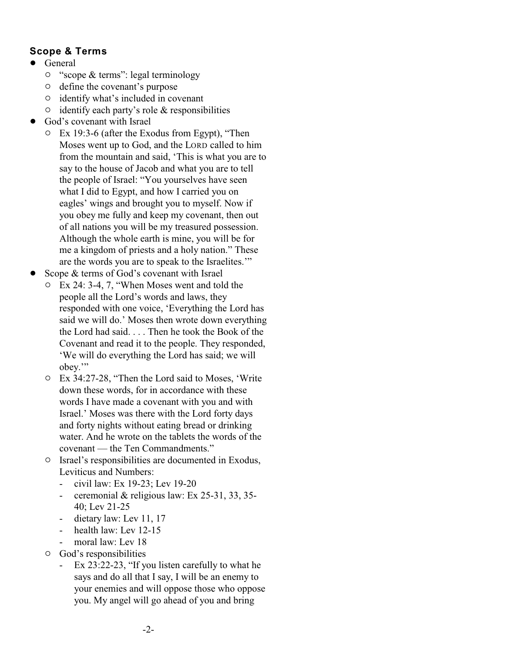## **Scope & Terms**

- General
	- $\circ$  "scope & terms": legal terminology
	- $\circ$  define the covenant's purpose
	- $\circ$  identify what's included in covenant
	- $\circ$  identify each party's role & responsibilities
- God's covenant with Israel
	- $\circ$  Ex 19:3-6 (after the Exodus from Egypt), "Then Moses went up to God, and the LORD called to him from the mountain and said, 'This is what you are to say to the house of Jacob and what you are to tell the people of Israel: "You yourselves have seen what I did to Egypt, and how I carried you on eagles' wings and brought you to myself. Now if you obey me fully and keep my covenant, then out of all nations you will be my treasured possession. Although the whole earth is mine, you will be for me a kingdom of priests and a holy nation." These are the words you are to speak to the Israelites.'"
- Scope & terms of God's covenant with Israel
	- $\circ$  Ex 24: 3-4, 7, "When Moses went and told the people all the Lord's words and laws, they responded with one voice, 'Everything the Lord has said we will do.' Moses then wrote down everything the Lord had said. . . . Then he took the Book of the Covenant and read it to the people. They responded, 'We will do everything the Lord has said; we will obey.'"
	- $\degree$  Ex 34:27-28, "Then the Lord said to Moses, 'Write down these words, for in accordance with these words I have made a covenant with you and with Israel.' Moses was there with the Lord forty days and forty nights without eating bread or drinking water. And he wrote on the tablets the words of the covenant — the Ten Commandments."
	- $\circ$  Israel's responsibilities are documented in Exodus, Leviticus and Numbers:
		- civil law: Ex 19-23; Lev 19-20
		- ceremonial & religious law: Ex 25-31, 33, 35-40; Lev 21-25
		- dietary law: Lev 11, 17
		- health law: Lev 12-15
		- moral law: Lev 18
	- $\circ$  God's responsibilities
		- Ex 23:22-23, "If you listen carefully to what he says and do all that I say, I will be an enemy to your enemies and will oppose those who oppose you. My angel will go ahead of you and bring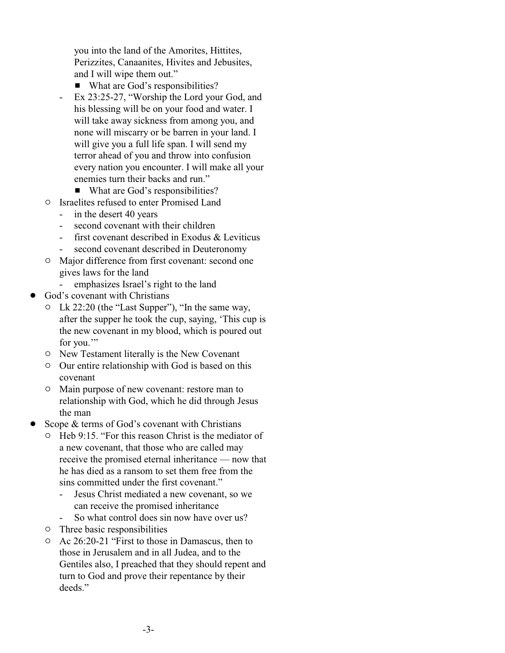you into the land of the Amorites, Hittites, Perizzites, Canaanites, Hivites and Jebusites, and I will wipe them out."

- What are God's responsibilities?
- Ex 23:25-27, "Worship the Lord your God, and his blessing will be on your food and water. I will take away sickness from among you, and none will miscarry or be barren in your land. I will give you a full life span. I will send my terror ahead of you and throw into confusion every nation you encounter. I will make all your enemies turn their backs and run."
	- $\blacksquare$  What are God's responsibilities?
- $\circ$  Israelites refused to enter Promised Land
	- in the desert 40 years
		- second covenant with their children
	- first covenant described in Exodus & Leviticus
	- second covenant described in Deuteronomy
- $\circ$  Major difference from first covenant: second one gives laws for the land
	- emphasizes Israel's right to the land
- God's covenant with Christians
	- Lk  $22:20$  (the "Last Supper"), "In the same way, after the supper he took the cup, saying, 'This cup is the new covenant in my blood, which is poured out for you."
	- $\circ$  New Testament literally is the New Covenant
	- $\circ$  Our entire relationship with God is based on this covenant
	- $\circ$  Main purpose of new covenant: restore man to relationship with God, which he did through Jesus the man
- Scope & terms of God's covenant with Christians
	- $\circ$  Heb 9:15. "For this reason Christ is the mediator of a new covenant, that those who are called may receive the promised eternal inheritance — now that he has died as a ransom to set them free from the sins committed under the first covenant."
		- Jesus Christ mediated a new covenant, so we can receive the promised inheritance
		- So what control does sin now have over us?
	- $\circ$  Three basic responsibilities
	- $\circ$  Ac 26:20-21 "First to those in Damascus, then to those in Jerusalem and in all Judea, and to the Gentiles also, I preached that they should repent and turn to God and prove their repentance by their deeds."